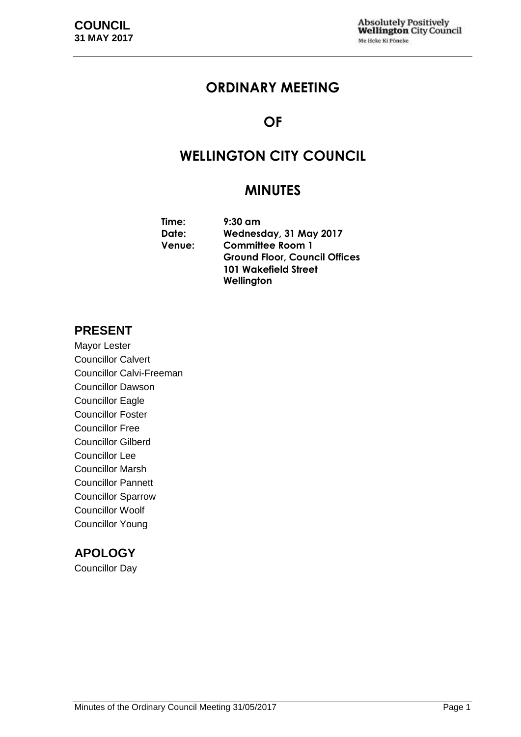## **ORDINARY MEETING**

## **OF**

# **WELLINGTON CITY COUNCIL**

## **MINUTES**

| Time:         | $9:30$ am                            |
|---------------|--------------------------------------|
| Date:         | Wednesday, 31 May 2017               |
| <b>Venue:</b> | <b>Committee Room 1</b>              |
|               | <b>Ground Floor, Council Offices</b> |
|               | <b>101 Wakefield Street</b>          |
|               | Wellington                           |

## **PRESENT**

Mayor Lester Councillor Calvert Councillor Calvi-Freeman Councillor Dawson Councillor Eagle Councillor Foster Councillor Free Councillor Gilberd Councillor Lee Councillor Marsh Councillor Pannett Councillor Sparrow Councillor Woolf Councillor Young

## **APOLOGY**

Councillor Day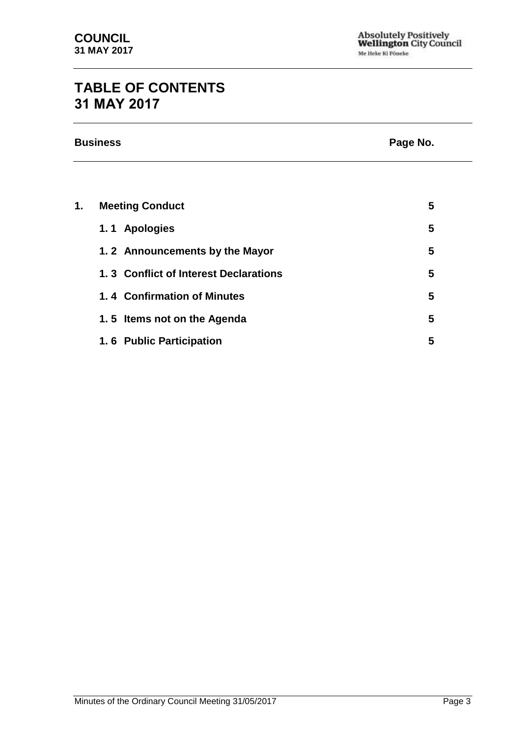# **TABLE OF CONTENTS 31 MAY 2017**

| <b>Business</b> | Page No. |
|-----------------|----------|
|                 |          |

| 1. | <b>Meeting Conduct</b>                | 5 |
|----|---------------------------------------|---|
|    | 1.1 Apologies                         | 5 |
|    | 1.2 Announcements by the Mayor        | 5 |
|    | 1.3 Conflict of Interest Declarations | 5 |
|    | 1.4 Confirmation of Minutes           | 5 |
|    | 1.5 Items not on the Agenda           | 5 |
|    | 1.6 Public Participation              | 5 |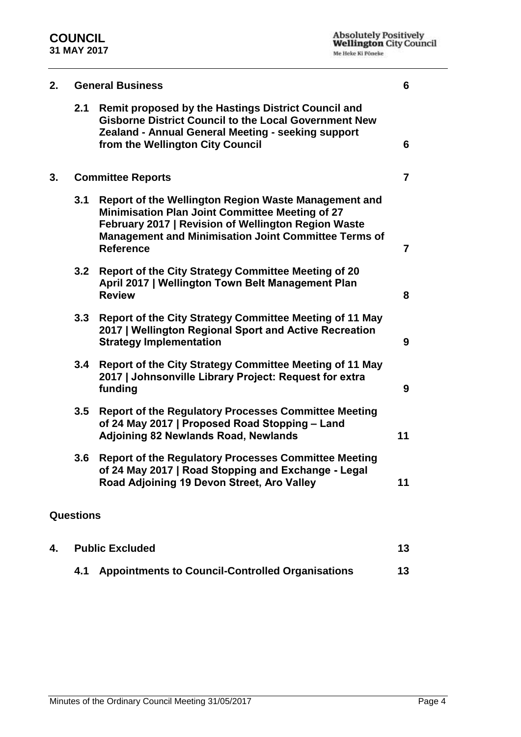| 2.<br><b>General Business</b> |                  |                                                                                                                                                                                                                                                   | 6              |
|-------------------------------|------------------|---------------------------------------------------------------------------------------------------------------------------------------------------------------------------------------------------------------------------------------------------|----------------|
|                               | 2.1              | <b>Remit proposed by the Hastings District Council and</b><br><b>Gisborne District Council to the Local Government New</b><br>Zealand - Annual General Meeting - seeking support<br>from the Wellington City Council                              | 6              |
| 3.                            |                  | <b>Committee Reports</b>                                                                                                                                                                                                                          | $\overline{7}$ |
|                               | 3.1              | Report of the Wellington Region Waste Management and<br><b>Minimisation Plan Joint Committee Meeting of 27</b><br>February 2017   Revision of Wellington Region Waste<br>Management and Minimisation Joint Committee Terms of<br><b>Reference</b> | $\overline{7}$ |
|                               | 3.2              | Report of the City Strategy Committee Meeting of 20<br>April 2017   Wellington Town Belt Management Plan<br><b>Review</b>                                                                                                                         | 8              |
|                               | 3.3              | Report of the City Strategy Committee Meeting of 11 May<br>2017   Wellington Regional Sport and Active Recreation<br><b>Strategy Implementation</b>                                                                                               | 9              |
|                               | 3.4              | Report of the City Strategy Committee Meeting of 11 May<br>2017   Johnsonville Library Project: Request for extra<br>funding                                                                                                                      | 9              |
|                               | 3.5              | <b>Report of the Regulatory Processes Committee Meeting</b><br>of 24 May 2017   Proposed Road Stopping - Land<br>Adjoining 82 Newlands Road, Newlands                                                                                             | 11             |
|                               | 3.6              | <b>Report of the Regulatory Processes Committee Meeting</b><br>of 24 May 2017   Road Stopping and Exchange - Legal<br>Road Adjoining 19 Devon Street, Aro Valley                                                                                  | 11             |
|                               | <b>Questions</b> |                                                                                                                                                                                                                                                   |                |

| 4. | <b>Public Excluded</b>                               |    |
|----|------------------------------------------------------|----|
|    | 4.1 Appointments to Council-Controlled Organisations | 13 |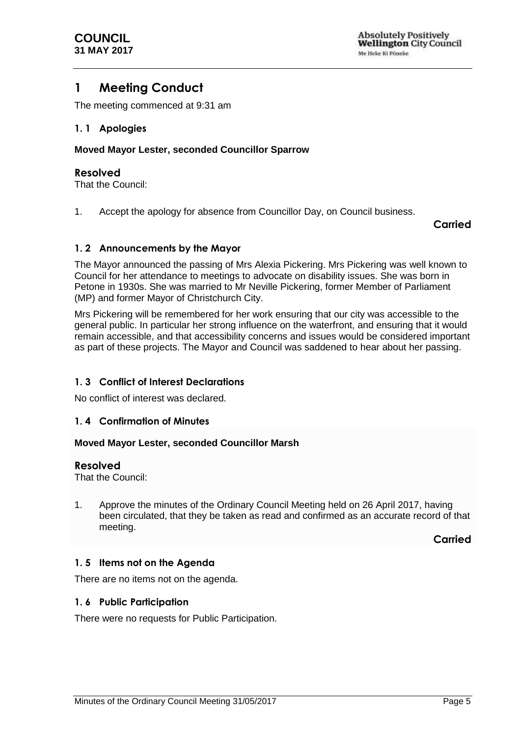## <span id="page-4-0"></span>**1 Meeting Conduct**

The meeting commenced at 9:31 am

#### <span id="page-4-1"></span>**1. 1 Apologies**

#### **Moved Mayor Lester, seconded Councillor Sparrow**

#### **Resolved**

That the Council:

1. Accept the apology for absence from Councillor Day, on Council business.

### **Carried**

### <span id="page-4-2"></span>**1. 2 Announcements by the Mayor**

The Mayor announced the passing of Mrs Alexia Pickering. Mrs Pickering was well known to Council for her attendance to meetings to advocate on disability issues. She was born in Petone in 1930s. She was married to Mr Neville Pickering, former Member of Parliament (MP) and former Mayor of Christchurch City.

Mrs Pickering will be remembered for her work ensuring that our city was accessible to the general public. In particular her strong influence on the waterfront, and ensuring that it would remain accessible, and that accessibility concerns and issues would be considered important as part of these projects. The Mayor and Council was saddened to hear about her passing.

#### <span id="page-4-3"></span>**1. 3 Conflict of Interest Declarations**

No conflict of interest was declared.

#### <span id="page-4-4"></span>**1. 4 Confirmation of Minutes**

#### **Moved Mayor Lester, seconded Councillor Marsh**

#### **Resolved**

That the Council:

1. Approve the minutes of the Ordinary Council Meeting held on 26 April 2017, having been circulated, that they be taken as read and confirmed as an accurate record of that meeting.

**Carried**

#### <span id="page-4-5"></span>**1. 5 Items not on the Agenda**

There are no items not on the agenda.

#### <span id="page-4-6"></span>**1. 6 Public Participation**

<span id="page-4-7"></span>There were no requests for Public Participation.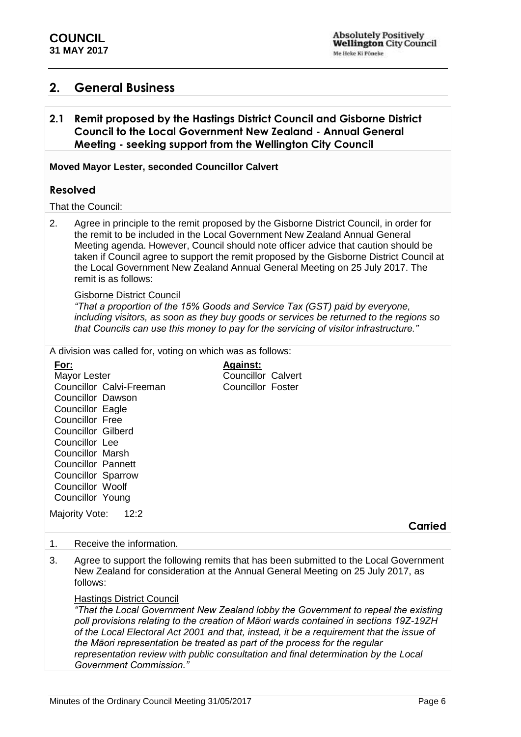## **2. General Business**

## <span id="page-5-0"></span>**2.1 Remit proposed by the Hastings District Council and Gisborne District Council to the Local Government New Zealand - Annual General Meeting - seeking support from the Wellington City Council**

#### **Moved Mayor Lester, seconded Councillor Calvert**

## **Resolved**

#### That the Council:

2. Agree in principle to the remit proposed by the Gisborne District Council, in order for the remit to be included in the Local Government New Zealand Annual General Meeting agenda. However, Council should note officer advice that caution should be taken if Council agree to support the remit proposed by the Gisborne District Council at the Local Government New Zealand Annual General Meeting on 25 July 2017. The remit is as follows:

#### Gisborne District Council

*"That a proportion of the 15% Goods and Service Tax (GST) paid by everyone, including visitors, as soon as they buy goods or services be returned to the regions so that Councils can use this money to pay for the servicing of visitor infrastructure."*

A division was called for, voting on which was as follows:

|      | arrioidh mao cailca ion, roting on millon mao ao iollom                                                                                                                                                                                                                                                    |                                                                          |                                                                                                                                                                                                                                                                                                                                                                                                                                                                                                                                             |         |
|------|------------------------------------------------------------------------------------------------------------------------------------------------------------------------------------------------------------------------------------------------------------------------------------------------------------|--------------------------------------------------------------------------|---------------------------------------------------------------------------------------------------------------------------------------------------------------------------------------------------------------------------------------------------------------------------------------------------------------------------------------------------------------------------------------------------------------------------------------------------------------------------------------------------------------------------------------------|---------|
| For: | Mayor Lester<br>Councillor Calvi-Freeman<br><b>Councillor Dawson</b><br>Councillor Eagle<br>Councillor Free<br><b>Councillor Gilberd</b><br>Councillor Lee<br><b>Councillor Marsh</b><br><b>Councillor Pannett</b><br>Councillor Sparrow<br>Councillor Woolf<br>Councillor Young<br>Majority Vote:<br>12:2 | <b>Against:</b><br><b>Councillor Calvert</b><br><b>Councillor Foster</b> |                                                                                                                                                                                                                                                                                                                                                                                                                                                                                                                                             |         |
|      |                                                                                                                                                                                                                                                                                                            |                                                                          |                                                                                                                                                                                                                                                                                                                                                                                                                                                                                                                                             | Carried |
| 1.   | Receive the information.                                                                                                                                                                                                                                                                                   |                                                                          |                                                                                                                                                                                                                                                                                                                                                                                                                                                                                                                                             |         |
| 3.   | follows:<br><b>Hastings District Council</b><br>the Māori representation be treated as part of the process for the regular<br><b>Government Commission."</b>                                                                                                                                               |                                                                          | Agree to support the following remits that has been submitted to the Local Government<br>New Zealand for consideration at the Annual General Meeting on 25 July 2017, as<br>"That the Local Government New Zealand lobby the Government to repeal the existing<br>poll provisions relating to the creation of Māori wards contained in sections 19Z-19ZH<br>of the Local Electoral Act 2001 and that, instead, it be a requirement that the issue of<br>representation review with public consultation and final determination by the Local |         |
|      |                                                                                                                                                                                                                                                                                                            |                                                                          |                                                                                                                                                                                                                                                                                                                                                                                                                                                                                                                                             |         |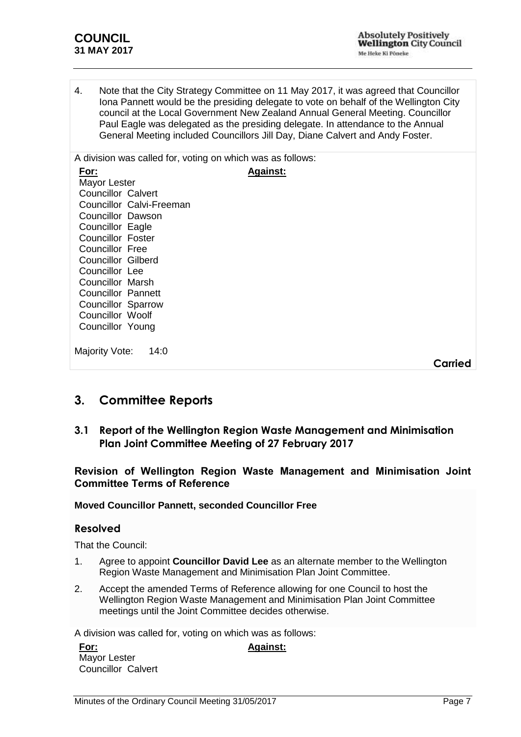4. Note that the City Strategy Committee on 11 May 2017, it was agreed that Councillor Iona Pannett would be the presiding delegate to vote on behalf of the Wellington City council at the Local Government New Zealand Annual General Meeting. Councillor Paul Eagle was delegated as the presiding delegate. In attendance to the Annual General Meeting included Councillors Jill Day, Diane Calvert and Andy Foster.

A division was called for, voting on which was as follows: **For:** Mayor Lester Councillor Calvert Councillor Calvi-Freeman Councillor Dawson Councillor Eagle Councillor Foster Councillor Free Councillor Gilberd Councillor Lee Councillor Marsh Councillor Pannett Councillor Sparrow Councillor Woolf Councillor Young **Against:** Maiority Vote: 14:0

## <span id="page-6-0"></span>**3. Committee Reports**

## <span id="page-6-1"></span>**3.1 Report of the Wellington Region Waste Management and Minimisation Plan Joint Committee Meeting of 27 February 2017**

## **Revision of Wellington Region Waste Management and Minimisation Joint Committee Terms of Reference**

## **Moved Councillor Pannett, seconded Councillor Free**

## **Resolved**

That the Council:

- 1. Agree to appoint **Councillor David Lee** as an alternate member to the Wellington Region Waste Management and Minimisation Plan Joint Committee.
- 2. Accept the amended Terms of Reference allowing for one Council to host the Wellington Region Waste Management and Minimisation Plan Joint Committee meetings until the Joint Committee decides otherwise.

A division was called for, voting on which was as follows:

**For:** Mayor Lester Councillor Calvert **Against:**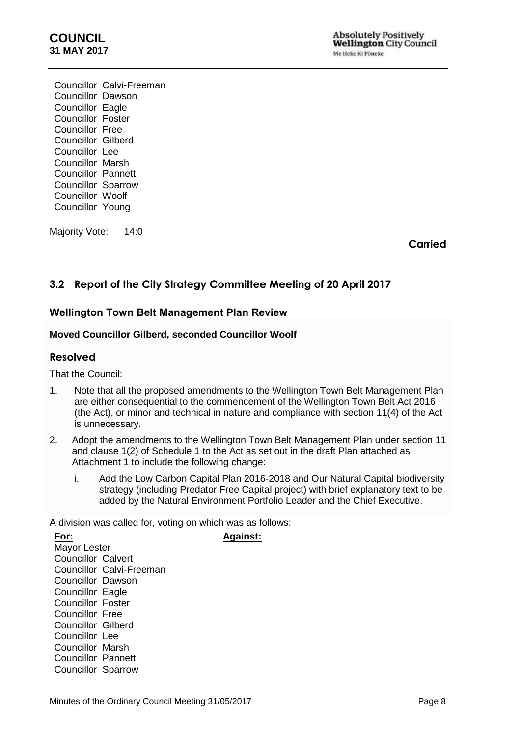## **COUNCIL 31 MAY 2017**

Councillor Calvi-Freeman Councillor Dawson Councillor Eagle Councillor Foster Councillor Free Councillor Gilberd Councillor Lee Councillor Marsh Councillor Pannett Councillor Sparrow Councillor Woolf Councillor Young

Majority Vote: 14:0

**Carried**

## <span id="page-7-0"></span>**3.2 Report of the City Strategy Committee Meeting of 20 April 2017**

## **Wellington Town Belt Management Plan Review**

#### **Moved Councillor Gilberd, seconded Councillor Woolf**

#### **Resolved**

That the Council:

- 1. Note that all the proposed amendments to the Wellington Town Belt Management Plan are either consequential to the commencement of the Wellington Town Belt Act 2016 (the Act), or minor and technical in nature and compliance with section 11(4) of the Act is unnecessary.
- 2. Adopt the amendments to the Wellington Town Belt Management Plan under section 11 and clause 1(2) of Schedule 1 to the Act as set out in the draft Plan attached as Attachment 1 to include the following change:
	- i. Add the Low Carbon Capital Plan 2016-2018 and Our Natural Capital biodiversity strategy (including Predator Free Capital project) with brief explanatory text to be added by the Natural Environment Portfolio Leader and the Chief Executive.

A division was called for, voting on which was as follows:

**For:** Mayor Lester Councillor Calvert Councillor Calvi-Freeman Councillor Dawson Councillor Eagle Councillor Foster Councillor Free Councillor Gilberd Councillor Lee Councillor Marsh Councillor Pannett Councillor Sparrow

**Against:**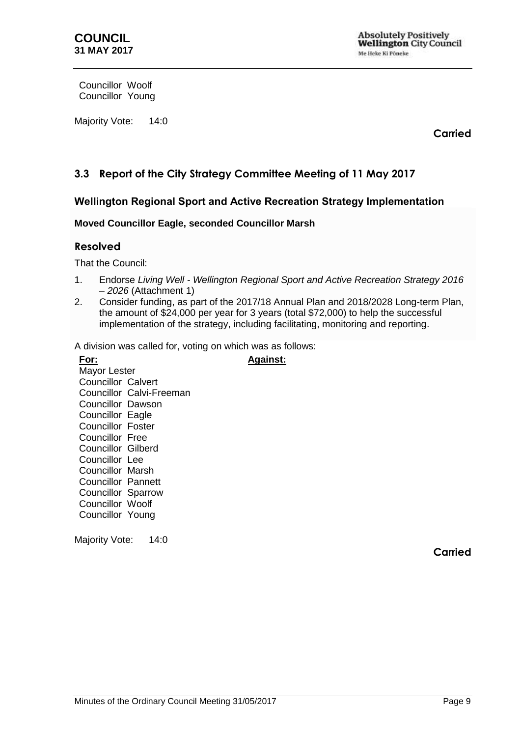Councillor Woolf Councillor Young

Majority Vote: 14:0

**Carried**

## <span id="page-8-0"></span>**3.3 Report of the City Strategy Committee Meeting of 11 May 2017**

## **Wellington Regional Sport and Active Recreation Strategy Implementation**

### **Moved Councillor Eagle, seconded Councillor Marsh**

### **Resolved**

That the Council:

- 1. Endorse *Living Well - Wellington Regional Sport and Active Recreation Strategy 2016 – 2026* (Attachment 1)
- 2. Consider funding, as part of the 2017/18 Annual Plan and 2018/2028 Long-term Plan, the amount of \$24,000 per year for 3 years (total \$72,000) to help the successful implementation of the strategy, including facilitating, monitoring and reporting.

**Against:**

A division was called for, voting on which was as follows:

**For:** Mayor Lester Councillor Calvert Councillor Calvi-Freeman Councillor Dawson Councillor Eagle Councillor Foster Councillor Free Councillor Gilberd Councillor Lee Councillor Marsh Councillor Pannett Councillor Sparrow Councillor Woolf Councillor Young

<span id="page-8-1"></span>Majority Vote: 14:0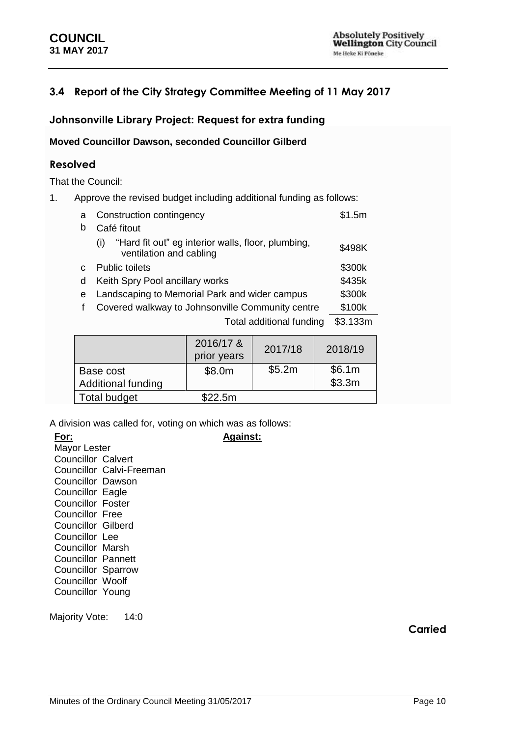## **3.4 Report of the City Strategy Committee Meeting of 11 May 2017**

## **Johnsonville Library Project: Request for extra funding**

**Moved Councillor Dawson, seconded Councillor Gilberd**

## **Resolved**

That the Council:

1. Approve the revised budget including additional funding as follows:

| a | Construction contingency                                                             | \$1.5m   |
|---|--------------------------------------------------------------------------------------|----------|
| b | Café fitout                                                                          |          |
|   | "Hard fit out" eg interior walls, floor, plumbing,<br>(i)<br>ventilation and cabling | \$498K   |
|   | <b>Public toilets</b>                                                                | \$300k   |
| d | Keith Spry Pool ancillary works                                                      | \$435k   |
| e | Landscaping to Memorial Park and wider campus                                        | \$300k   |
|   | Covered walkway to Johnsonville Community centre                                     | \$100k   |
|   | Total additional funding                                                             | \$3.133m |
|   |                                                                                      |          |

|                     | 2016/17 &<br>prior years | 2017/18 | 2018/19 |
|---------------------|--------------------------|---------|---------|
| Base cost           | \$8.0m                   | \$5.2m  | \$6.1m  |
| Additional funding  |                          |         | \$3.3m  |
| <b>Total budget</b> | \$22.5m                  |         |         |

**Against:**

A division was called for, voting on which was as follows:

| For:                      |                          |
|---------------------------|--------------------------|
| Mayor Lester              |                          |
| <b>Councillor Calvert</b> |                          |
|                           | Councillor Calvi-Freeman |
| Councillor Dawson         |                          |
| <b>Councillor Eagle</b>   |                          |
| <b>Councillor Foster</b>  |                          |
| Councillor Free           |                          |
| Councillor Gilberd        |                          |
| Councillor Lee            |                          |
| <b>Councillor Marsh</b>   |                          |
| Councillor Pannett        |                          |
| <b>Councillor Sparrow</b> |                          |
| <b>Councillor Woolf</b>   |                          |
| Councillor Young          |                          |
|                           |                          |

Majority Vote: 14:0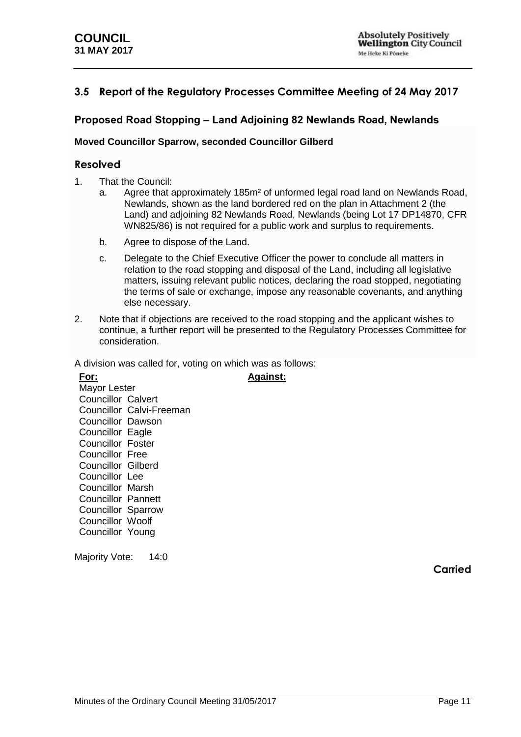## <span id="page-10-0"></span>**3.5 Report of the Regulatory Processes Committee Meeting of 24 May 2017**

## **Proposed Road Stopping – Land Adjoining 82 Newlands Road, Newlands**

#### **Moved Councillor Sparrow, seconded Councillor Gilberd**

### **Resolved**

- 1. That the Council:
	- a. Agree that approximately 185m² of unformed legal road land on Newlands Road, Newlands, shown as the land bordered red on the plan in Attachment 2 (the Land) and adjoining 82 Newlands Road, Newlands (being Lot 17 DP14870, CFR WN825/86) is not required for a public work and surplus to requirements.
	- b. Agree to dispose of the Land.
	- c. Delegate to the Chief Executive Officer the power to conclude all matters in relation to the road stopping and disposal of the Land, including all legislative matters, issuing relevant public notices, declaring the road stopped, negotiating the terms of sale or exchange, impose any reasonable covenants, and anything else necessary.
- 2. Note that if objections are received to the road stopping and the applicant wishes to continue, a further report will be presented to the Regulatory Processes Committee for consideration.

**Against:**

A division was called for, voting on which was as follows:

| For:                      |                          |
|---------------------------|--------------------------|
| Mayor Lester              |                          |
| <b>Councillor Calvert</b> |                          |
|                           | Councillor Calvi-Freeman |
| <b>Councillor Dawson</b>  |                          |
| Councillor Eagle          |                          |
| Councillor Foster         |                          |
| <b>Councillor Free</b>    |                          |
| Councillor Gilberd        |                          |
| Councillor Lee            |                          |
| <b>Councillor Marsh</b>   |                          |
| <b>Councillor Pannett</b> |                          |
| <b>Councillor Sparrow</b> |                          |
| <b>Councillor Woolf</b>   |                          |
| Councillor Young          |                          |
|                           |                          |

<span id="page-10-1"></span>Majority Vote: 14:0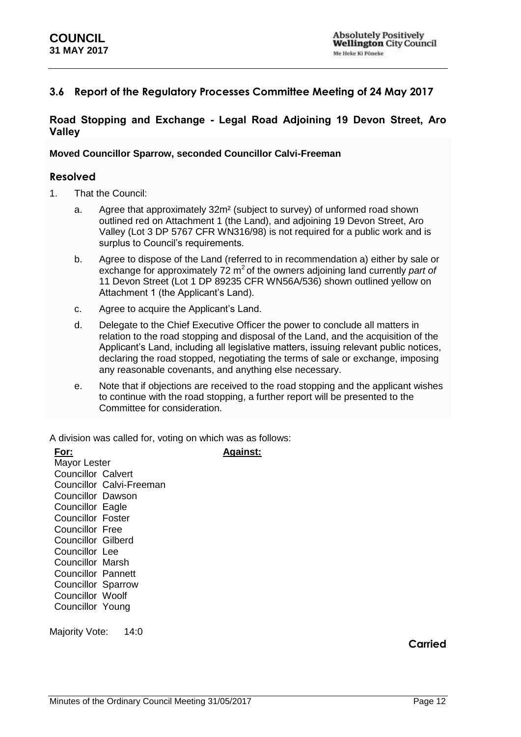## **3.6 Report of the Regulatory Processes Committee Meeting of 24 May 2017**

## **Road Stopping and Exchange - Legal Road Adjoining 19 Devon Street, Aro Valley**

#### **Moved Councillor Sparrow, seconded Councillor Calvi-Freeman**

### **Resolved**

- 1. That the Council:
	- a. Agree that approximately 32m² (subject to survey) of unformed road shown outlined red on Attachment 1 (the Land), and adjoining 19 Devon Street, Aro Valley (Lot 3 DP 5767 CFR WN316/98) is not required for a public work and is surplus to Council's requirements.
	- b. Agree to dispose of the Land (referred to in recommendation a) either by sale or exchange for approximately 72 m<sup>2</sup> of the owners adjoining land currently *part of* 11 Devon Street (Lot 1 DP 89235 CFR WN56A/536) shown outlined yellow on Attachment 1 (the Applicant's Land).
	- c. Agree to acquire the Applicant's Land.
	- d. Delegate to the Chief Executive Officer the power to conclude all matters in relation to the road stopping and disposal of the Land, and the acquisition of the Applicant's Land, including all legislative matters, issuing relevant public notices, declaring the road stopped, negotiating the terms of sale or exchange, imposing any reasonable covenants, and anything else necessary.
	- e. Note that if objections are received to the road stopping and the applicant wishes to continue with the road stopping, a further report will be presented to the Committee for consideration.

**Against:**

A division was called for, voting on which was as follows:

| For:                      |
|---------------------------|
| Mayor Lester              |
| Councillor Calvert        |
| Councillor Calvi-Freeman  |
| Councillor Dawson         |
| Councillor Eagle          |
| <b>Councillor Foster</b>  |
| Councillor Free           |
| Councillor Gilberd        |
| Councillor Lee            |
| Councillor Marsh          |
| Councillor Pannett        |
| <b>Councillor Sparrow</b> |
| Councillor Woolf          |
| Councillor Young          |
|                           |

Majority Vote: 14:0